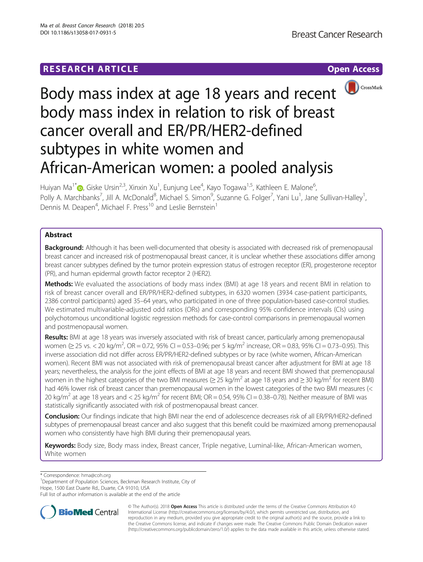# **RESEARCH ARTICLE Example 2014 12:30 The Contract of Contract ACCESS**



# Body mass index at age 18 years and recent body mass index in relation to risk of breast cancer overall and ER/PR/HER2-defined subtypes in white women and African-American women: a pooled analysis

Huiyan Ma<sup>1[\\*](http://orcid.org/0000-0002-3335-4775)</sup>®, Giske Ursin<sup>2,3</sup>, Xinxin Xu<sup>1</sup>, Eunjung Lee<sup>4</sup>, Kayo Togawa<sup>1,5</sup>, Kathleen E. Malone<sup>6</sup> , Polly A. Marchbanks<sup>7</sup>, Jill A. McDonald<sup>8</sup>, Michael S. Simon<sup>9</sup>, Suzanne G. Folger<sup>7</sup>, Yani Lu<sup>1</sup>, Jane Sullivan-Halley<sup>1</sup> , Dennis M. Deapen<sup>4</sup>, Michael F. Press<sup>10</sup> and Leslie Bernstein<sup>1</sup>

# Abstract

Background: Although it has been well-documented that obesity is associated with decreased risk of premenopausal breast cancer and increased risk of postmenopausal breast cancer, it is unclear whether these associations differ among breast cancer subtypes defined by the tumor protein expression status of estrogen receptor (ER), progesterone receptor (PR), and human epidermal growth factor receptor 2 (HER2).

Methods: We evaluated the associations of body mass index (BMI) at age 18 years and recent BMI in relation to risk of breast cancer overall and ER/PR/HER2-defined subtypes, in 6320 women (3934 case-patient participants, 2386 control participants) aged 35–64 years, who participated in one of three population-based case-control studies. We estimated multivariable-adjusted odd ratios (ORs) and corresponding 95% confidence intervals (CIs) using polychotomous unconditional logistic regression methods for case-control comparisons in premenopausal women and postmenopausal women.

Results: BMI at age 18 years was inversely associated with risk of breast cancer, particularly among premenopausal women (≥ 25 vs. < 20 kg/m<sup>2</sup>, OR = 0.72, 95% CI = 0.53–0.96; per 5 kg/m<sup>2</sup> increase, OR = 0.83, 95% CI = 0.73–0.95). This inverse association did not differ across ER/PR/HER2-defined subtypes or by race (white women, African-American women). Recent BMI was not associated with risk of premenopausal breast cancer after adjustment for BMI at age 18 years; nevertheless, the analysis for the joint effects of BMI at age 18 years and recent BMI showed that premenopausal women in the highest categories of the two BMI measures ( $\geq$  25 kg/m<sup>2</sup> at age 18 years and  $\geq$  30 kg/m<sup>2</sup> for recent BMI) had 46% lower risk of breast cancer than premenopausal women in the lowest categories of the two BMI measures (< 20 kg/m<sup>2</sup> at age 18 years and  $<$  25 kg/m<sup>2</sup> for recent BMI; OR = 0.54, 95% CI = 0.38–0.78). Neither measure of BMI was statistically significantly associated with risk of postmenopausal breast cancer.

Conclusion: Our findings indicate that high BMI near the end of adolescence decreases risk of all ER/PR/HER2-defined subtypes of premenopausal breast cancer and also suggest that this benefit could be maximized among premenopausal women who consistently have high BMI during their premenopausal years.

Keywords: Body size, Body mass index, Breast cancer, Triple negative, Luminal-like, African-American women, White women

\* Correspondence: [hma@coh.org](mailto:hma@coh.org) <sup>1</sup>

<sup>1</sup>Department of Population Sciences, Beckman Research Institute, City of

Hope, 1500 East Duarte Rd., Duarte, CA 91010, USA

Full list of author information is available at the end of the article



© The Author(s). 2018 Open Access This article is distributed under the terms of the Creative Commons Attribution 4.0 International License [\(http://creativecommons.org/licenses/by/4.0/](http://creativecommons.org/licenses/by/4.0/)), which permits unrestricted use, distribution, and reproduction in any medium, provided you give appropriate credit to the original author(s) and the source, provide a link to the Creative Commons license, and indicate if changes were made. The Creative Commons Public Domain Dedication waiver [\(http://creativecommons.org/publicdomain/zero/1.0/](http://creativecommons.org/publicdomain/zero/1.0/)) applies to the data made available in this article, unless otherwise stated.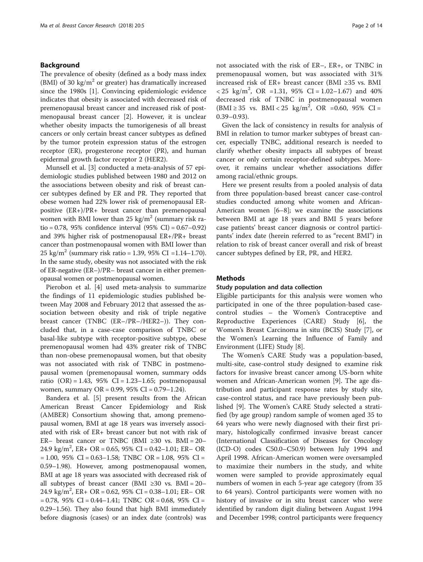## Background

The prevalence of obesity (defined as a body mass index (BMI) of 30 kg/ $m<sup>2</sup>$  or greater) has dramatically increased since the 1980s [[1\]](#page-12-0). Convincing epidemiologic evidence indicates that obesity is associated with decreased risk of premenopausal breast cancer and increased risk of postmenopausal breast cancer [\[2](#page-12-0)]. However, it is unclear whether obesity impacts the tumorigenesis of all breast cancers or only certain breast cancer subtypes as defined by the tumor protein expression status of the estrogen receptor (ER), progesterone receptor (PR), and human epidermal growth factor receptor 2 (HER2).

Munsell et al. [\[3](#page-12-0)] conducted a meta-analysis of 57 epidemiologic studies published between 1980 and 2012 on the associations between obesity and risk of breast cancer subtypes defined by ER and PR. They reported that obese women had 22% lower risk of premenopausal ERpositive (ER+)/PR+ breast cancer than premenopausal women with BMI lower than  $25 \text{ kg/m}^2$  (summary risk ratio = 0.78, 95% confidence interval (95% CI) = 0.67–0.92) and 39% higher risk of postmenopausal ER+/PR+ breast cancer than postmenopausal women with BMI lower than 25 kg/m<sup>2</sup> (summary risk ratio = 1.39, 95% CI = 1.14–1.70). In the same study, obesity was not associated with the risk of ER-negative (ER–)/PR– breast cancer in either premenopausal women or postmenopausal women.

Pierobon et al. [\[4](#page-12-0)] used meta-analysis to summarize the findings of 11 epidemiologic studies published between May 2008 and February 2012 that assessed the association between obesity and risk of triple negative breast cancer (TNBC (ER–/PR–/HER2–)). They concluded that, in a case-case comparison of TNBC or basal-like subtype with receptor-positive subtype, obese premenopausal women had 43% greater risk of TNBC than non-obese premenopausal women, but that obesity was not associated with risk of TNBC in postmenopausal women (premenopausal women, summary odds ratio  $(OR) = 1.43$ , 95% CI = 1.23–1.65; postmenopausal women, summary OR = 0.99, 95% CI = 0.79–1.24).

Bandera et al. [[5\]](#page-12-0) present results from the African American Breast Cancer Epidemiology and Risk (AMBER) Consortium showing that, among premenopausal women, BMI at age 18 years was inversely associated with risk of ER+ breast cancer but not with risk of ER– breast cancer or TNBC (BMI  $\geq 30$  vs. BMI = 20– 24.9 kg/m<sup>2</sup>, ER+ OR = 0.65, 95% CI = 0.42-1.01; ER- OR  $= 1.00, 95\% \text{ CI} = 0.63 - 1.58; \text{TNBC OR} = 1.08, 95\% \text{ CI} =$ 0.59–1.98). However, among postmenopausal women, BMI at age 18 years was associated with decreased risk of all subtypes of breast cancer (BMI  $\geq 30$  vs. BMI = 20– 24.9 kg/m<sup>2</sup>, ER+ OR = 0.62, 95% CI = 0.38-1.01; ER- OR  $= 0.78$ , 95% CI  $= 0.44 - 1.41$ ; TNBC OR  $= 0.68$ , 95% CI  $=$ 0.29–1.56). They also found that high BMI immediately before diagnosis (cases) or an index date (controls) was not associated with the risk of ER–, ER+, or TNBC in premenopausal women, but was associated with 31% increased risk of ER+ breast cancer (BMI ≥35 vs. BMI  $< 25 \text{ kg/m}^2$ , OR = 1.31, 95% CI = 1.02-1.67) and 40% decreased risk of TNBC in postmenopausal women  $(BMI ≥ 35$  vs.  $BMI < 25$  kg/m<sup>2</sup>, OR =0.60, 95% CI = 0.39–0.93).

Given the lack of consistency in results for analysis of BMI in relation to tumor marker subtypes of breast cancer, especially TNBC, additional research is needed to clarify whether obesity impacts all subtypes of breast cancer or only certain receptor-defined subtypes. Moreover, it remains unclear whether associations differ among racial/ethnic groups.

Here we present results from a pooled analysis of data from three population-based breast cancer case-control studies conducted among white women and African-American women [[6](#page-12-0)–[8\]](#page-12-0); we examine the associations between BMI at age 18 years and BMI 5 years before case patients' breast cancer diagnosis or control participants' index date (herein referred to as "recent BMI") in relation to risk of breast cancer overall and risk of breast cancer subtypes defined by ER, PR, and HER2.

#### **Methods**

#### Study population and data collection

Eligible participants for this analysis were women who participated in one of the three population-based casecontrol studies – the Women's Contraceptive and Reproductive Experiences (CARE) Study [\[6](#page-12-0)], the Women's Breast Carcinoma in situ (BCIS) Study [[7\]](#page-12-0), or the Women's Learning the Influence of Family and Environment (LIFE) Study [[8\]](#page-12-0).

The Women's CARE Study was a population-based, multi-site, case-control study designed to examine risk factors for invasive breast cancer among US-born white women and African-American women [[9\]](#page-12-0). The age distribution and participant response rates by study site, case-control status, and race have previously been published [[9\]](#page-12-0). The Women's CARE Study selected a stratified (by age group) random sample of women aged 35 to 64 years who were newly diagnosed with their first primary, histologically confirmed invasive breast cancer (International Classification of Diseases for Oncology (ICD-O) codes C50.0–C50.9) between July 1994 and April 1998. African-American women were oversampled to maximize their numbers in the study, and white women were sampled to provide approximately equal numbers of women in each 5-year age category (from 35 to 64 years). Control participants were women with no history of invasive or in situ breast cancer who were identified by random digit dialing between August 1994 and December 1998; control participants were frequency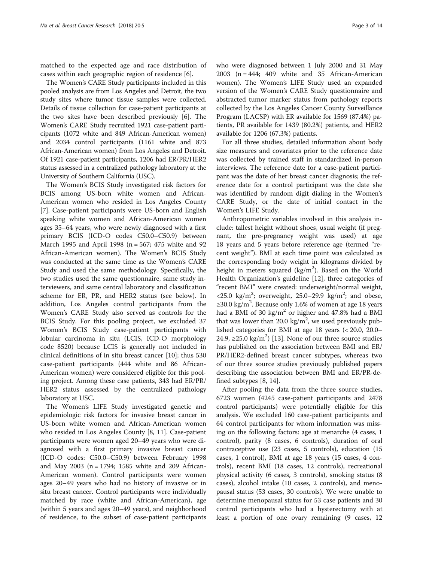matched to the expected age and race distribution of cases within each geographic region of residence [\[6](#page-12-0)].

The Women's CARE Study participants included in this pooled analysis are from Los Angeles and Detroit, the two study sites where tumor tissue samples were collected. Details of tissue collection for case-patient participants at the two sites have been described previously [\[6\]](#page-12-0). The Women's CARE Study recruited 1921 case-patient participants (1072 white and 849 African-American women) and 2034 control participants (1161 white and 873 African-American women) from Los Angeles and Detroit. Of 1921 case-patient participants, 1206 had ER/PR/HER2 status assessed in a centralized pathology laboratory at the University of Southern California (USC).

The Women's BCIS Study investigated risk factors for BCIS among US-born white women and African-American women who resided in Los Angeles County [[7\]](#page-12-0). Case-patient participants were US-born and English speaking white women and African-American women ages 35–64 years, who were newly diagnosed with a first primary BCIS (ICD-O codes C50.0–C50.9) between March 1995 and April 1998 (n = 567; 475 white and 92 African-American women). The Women's BCIS Study was conducted at the same time as the Women's CARE Study and used the same methodology. Specifically, the two studies used the same questionnaire, same study interviewers, and same central laboratory and classification scheme for ER, PR, and HER2 status (see below). In addition, Los Angeles control participants from the Women's CARE Study also served as controls for the BCIS Study. For this pooling project, we excluded 37 Women's BCIS Study case-patient participants with lobular carcinoma in situ (LCIS, ICD-O morphology code 8520) because LCIS is generally not included in clinical definitions of in situ breast cancer [[10](#page-12-0)]; thus 530 case-patient participants (444 white and 86 African-American women) were considered eligible for this pooling project. Among these case patients, 343 had ER/PR/ HER2 status assessed by the centralized pathology laboratory at USC.

The Women's LIFE Study investigated genetic and epidemiologic risk factors for invasive breast cancer in US-born white women and African-American women who resided in Los Angeles County [[8](#page-12-0), [11\]](#page-12-0). Case-patient participants were women aged 20–49 years who were diagnosed with a first primary invasive breast cancer (ICD-O codes: C50.0–C50.9) between February 1998 and May 2003 (n = 1794; 1585 white and 209 African-American women). Control participants were women ages 20–49 years who had no history of invasive or in situ breast cancer. Control participants were individually matched by race (white and African-American), age (within 5 years and ages 20–49 years), and neighborhood of residence, to the subset of case-patient participants who were diagnosed between 1 July 2000 and 31 May 2003 ( $n = 444$ ; 409 white and 35 African-American women). The Women's LIFE Study used an expanded version of the Women's CARE Study questionnaire and abstracted tumor marker status from pathology reports collected by the Los Angeles Cancer County Surveillance Program (LACSP) with ER available for 1569 (87.4%) patients, PR available for 1439 (80.2%) patients, and HER2 available for 1206 (67.3%) patients.

For all three studies, detailed information about body size measures and covariates prior to the reference date was collected by trained staff in standardized in-person interviews. The reference date for a case-patient participant was the date of her breast cancer diagnosis; the reference date for a control participant was the date she was identified by random digit dialing in the Women's CARE Study, or the date of initial contact in the Women's LIFE Study.

Anthropometric variables involved in this analysis include: tallest height without shoes, usual weight (if pregnant, the pre-pregnancy weight was used) at age 18 years and 5 years before reference age (termed "recent weight"). BMI at each time point was calculated as the corresponding body weight in kilograms divided by height in meters squared  $(kg/m^2)$ . Based on the World Health Organization's guideline [\[12](#page-12-0)], three categories of "recent BMI" were created: underweight/normal weight, <25.0  $\text{kg/m}^2$ ; overweight, 25.0-29.9  $\text{kg/m}^2$ ; and obese, ≥30.0 kg/m<sup>2</sup>. Because only 1.6% of women at age 18 years had a BMI of 30 kg/m<sup>2</sup> or higher and 47.8% had a BMI that was lower than 20.0  $\text{kg/m}^2$ , we used previously published categories for BMI at age 18 years (< 20.0, 20.0– 24.9, ≥25.0 kg/m<sup>2</sup>) [\[13\]](#page-12-0). None of our three source studies has published on the association between BMI and ER/ PR/HER2-defined breast cancer subtypes, whereas two of our three source studies previously published papers describing the association between BMI and ER/PR-defined subtypes [\[8](#page-12-0), [14](#page-12-0)].

After pooling the data from the three source studies, 6723 women (4245 case-patient participants and 2478 control participants) were potentially eligible for this analysis. We excluded 160 case-patient participants and 64 control participants for whom information was missing on the following factors: age at menarche (4 cases, 1 control), parity (8 cases, 6 controls), duration of oral contraceptive use (23 cases, 5 controls), education (15 cases, 1 control), BMI at age 18 years (15 cases, 4 controls), recent BMI (18 cases, 12 controls), recreational physical activity (6 cases, 3 controls), smoking status (8 cases), alcohol intake (10 cases, 2 controls), and menopausal status (53 cases, 30 controls). We were unable to determine menopausal status for 53 case patients and 30 control participants who had a hysterectomy with at least a portion of one ovary remaining (9 cases, 12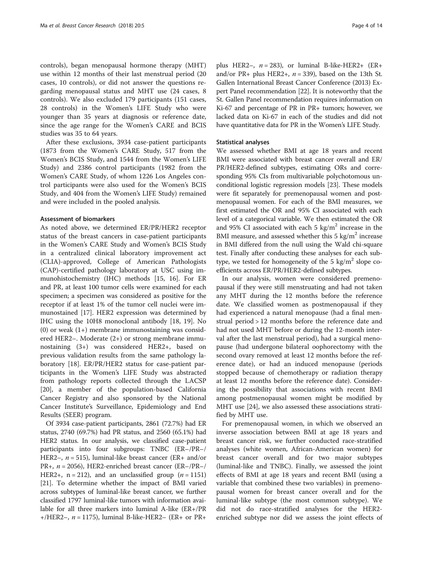controls), began menopausal hormone therapy (MHT) use within 12 months of their last menstrual period (20 cases, 10 controls), or did not answer the questions regarding menopausal status and MHT use (24 cases, 8 controls). We also excluded 179 participants (151 cases, 28 controls) in the Women's LIFE Study who were younger than 35 years at diagnosis or reference date, since the age range for the Women's CARE and BCIS studies was 35 to 64 years.

After these exclusions, 3934 case-patient participants (1873 from the Women's CARE Study, 517 from the Women's BCIS Study, and 1544 from the Women's LIFE Study) and 2386 control participants (1982 from the Women's CARE Study, of whom 1226 Los Angeles control participants were also used for the Women's BCIS Study, and 404 from the Women's LIFE Study) remained and were included in the pooled analysis.

#### Assessment of biomarkers

As noted above, we determined ER/PR/HER2 receptor status of the breast cancers in case-patient participants in the Women's CARE Study and Women's BCIS Study in a centralized clinical laboratory improvement act (CLIA)-approved, College of American Pathologists (CAP)-certified pathology laboratory at USC using immunohistochemistry (IHC) methods [\[15](#page-12-0), [16](#page-12-0)]. For ER and PR, at least 100 tumor cells were examined for each specimen; a specimen was considered as positive for the receptor if at least 1% of the tumor cell nuclei were immunostained [[17\]](#page-13-0). HER2 expression was determined by IHC using the 10H8 monoclonal antibody [[18](#page-13-0), [19\]](#page-13-0). No (0) or weak  $(1+)$  membrane immunostaining was considered HER2–. Moderate (2+) or strong membrane immunostaining (3+) was considered HER2+, based on previous validation results from the same pathology laboratory [[18\]](#page-13-0). ER/PR/HER2 status for case-patient participants in the Women's LIFE Study was abstracted from pathology reports collected through the LACSP [[20\]](#page-13-0), a member of the population-based California Cancer Registry and also sponsored by the National Cancer Institute's Surveillance, Epidemiology and End Results (SEER) program.

Of 3934 case-patient participants, 2861 (72.7%) had ER status, 2740 (69.7%) had PR status, and 2560 (65.1%) had HER2 status. In our analysis, we classified case-patient participants into four subgroups: TNBC (ER–/PR–/ HER2–,  $n = 515$ ), luminal-like breast cancer (ER+ and/or PR<sub>+</sub>,  $n = 2056$ ), HER2-enriched breast cancer (ER-/PR-/ HER2+,  $n = 212$ ), and an unclassified group ( $n = 1151$ ) [[21](#page-13-0)]. To determine whether the impact of BMI varied across subtypes of luminal-like breast cancer, we further classified 1797 luminal-like tumors with information available for all three markers into luminal A-like (ER+/PR +/HER2–,  $n = 1175$ ), luminal B-like-HER2– (ER+ or PR+

plus HER2–,  $n = 283$ ), or luminal B-like-HER2+ (ER+ and/or PR+ plus HER2+,  $n = 339$ ), based on the 13th St. Gallen International Breast Cancer Conference (2013) Expert Panel recommendation [[22\]](#page-13-0). It is noteworthy that the St. Gallen Panel recommendation requires information on Ki-67 and percentage of PR in PR+ tumors; however, we lacked data on Ki-67 in each of the studies and did not have quantitative data for PR in the Women's LIFE Study.

## Statistical analyses

We assessed whether BMI at age 18 years and recent BMI were associated with breast cancer overall and ER/ PR/HER2-defined subtypes, estimating ORs and corresponding 95% CIs from multivariable polychotomous unconditional logistic regression models [\[23\]](#page-13-0). These models were fit separately for premenopausal women and postmenopausal women. For each of the BMI measures, we first estimated the OR and 95% CI associated with each level of a categorical variable. We then estimated the OR and 95% CI associated with each 5  $\text{kg/m}^2$  increase in the BMI measure, and assessed whether this 5 kg/m<sup>2</sup> increase in BMI differed from the null using the Wald chi-square test. Finally after conducting these analyses for each subtype, we tested for homogeneity of the 5 kg/ $m^2$  slope coefficients across ER/PR/HER2-defined subtypes.

In our analysis, women were considered premenopausal if they were still menstruating and had not taken any MHT during the 12 months before the reference date. We classified women as postmenopausal if they had experienced a natural menopause (had a final menstrual period > 12 months before the reference date and had not used MHT before or during the 12-month interval after the last menstrual period), had a surgical menopause (had undergone bilateral oophorectomy with the second ovary removed at least 12 months before the reference date), or had an induced menopause (periods stopped because of chemotherapy or radiation therapy at least 12 months before the reference date). Considering the possibility that associations with recent BMI among postmenopausal women might be modified by MHT use [[24](#page-13-0)], we also assessed these associations stratified by MHT use.

For premenopausal women, in which we observed an inverse association between BMI at age 18 years and breast cancer risk, we further conducted race-stratified analyses (white women, African-American women) for breast cancer overall and for two major subtypes (luminal-like and TNBC). Finally, we assessed the joint effects of BMI at age 18 years and recent BMI (using a variable that combined these two variables) in premenopausal women for breast cancer overall and for the luminal-like subtype (the most common subtype). We did not do race-stratified analyses for the HER2 enriched subtype nor did we assess the joint effects of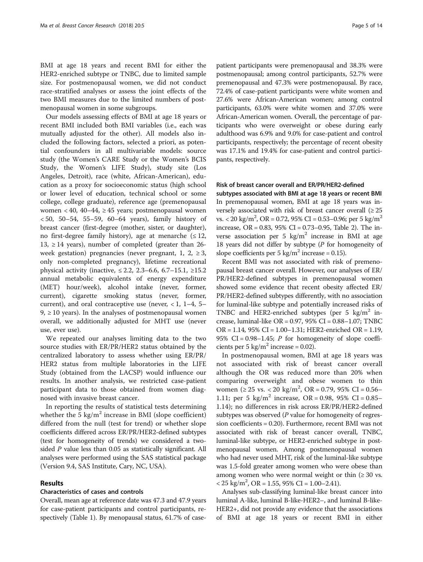BMI at age 18 years and recent BMI for either the HER2-enriched subtype or TNBC, due to limited sample size. For postmenopausal women, we did not conduct race-stratified analyses or assess the joint effects of the two BMI measures due to the limited numbers of postmenopausal women in some subgroups.

Our models assessing effects of BMI at age 18 years or recent BMI included both BMI variables (i.e., each was mutually adjusted for the other). All models also included the following factors, selected a priori, as potential confounders in all multivariable models: source study (the Women's CARE Study or the Women's BCIS Study, the Women's LIFE Study), study site (Los Angeles, Detroit), race (white, African-American), education as a proxy for socioeconomic status (high school or lower level of education, technical school or some college, college graduate), reference age (premenopausal women < 40, 40–44,  $\geq$  45 years; postmenopausal women < 50, 50–54, 55–59, 60–64 years), family history of breast cancer (first-degree (mother, sister, or daughter), no first-degree family history), age at menarche  $(≤ 12,$ 13, ≥ 14 years), number of completed (greater than  $26$ week gestation) pregnancies (never pregnant, 1, 2,  $\geq$  3, only non-completed pregnancy), lifetime recreational physical activity (inactive, ≤ 2.2, 2.3–6.6, 6.7–15.1, ≥15.2 annual metabolic equivalents of energy expenditure (MET) hour/week), alcohol intake (never, former, current), cigarette smoking status (never, former, current), and oral contraceptive use (never,  $< 1$ , 1–4, 5–  $9, \geq 10$  years). In the analyses of postmenopausal women overall, we additionally adjusted for MHT use (never use, ever use).

We repeated our analyses limiting data to the two source studies with ER/PR/HER2 status obtained by the centralized laboratory to assess whether using ER/PR/ HER2 status from multiple laboratories in the LIFE Study (obtained from the LACSP) would influence our results. In another analysis, we restricted case-patient participant data to those obtained from women diagnosed with invasive breast cancer.

In reporting the results of statistical tests determining whether the 5  $\text{kg/m}^2$  increase in BMI (slope coefficient) differed from the null (test for trend) or whether slope coefficients differed across ER/PR/HER2-defined subtypes (test for homogeneity of trends) we considered a twosided P value less than 0.05 as statistically significant. All analyses were performed using the SAS statistical package (Version 9.4, SAS Institute, Cary, NC, USA).

## Results

#### Characteristics of cases and controls

Overall, mean age at reference date was 47.3 and 47.9 years for case-patient participants and control participants, respectively (Table [1](#page-5-0)). By menopausal status, 61.7% of case-

patient participants were premenopausal and 38.3% were postmenopausal; among control participants, 52.7% were premenopausal and 47.3% were postmenopausal. By race, 72.4% of case-patient participants were white women and 27.6% were African-American women; among control participants, 63.0% were white women and 37.0% were African-American women. Overall, the percentage of participants who were overweight or obese during early adulthood was 6.9% and 9.0% for case-patient and control participants, respectively; the percentage of recent obesity was 17.1% and 19.4% for case-patient and control participants, respectively.

#### Risk of breast cancer overall and ER/PR/HER2-defined

subtypes associated with BMI at age 18 years or recent BMI In premenopausal women, BMI at age 18 years was inversely associated with risk of breast cancer overall  $(≥ 25$ vs.  $<$  20 kg/m<sup>2</sup>, OR = 0.72, 95% CI = 0.53–0.96; per 5 kg/m<sup>2</sup> increase, OR = 0.83, 95% CI = 0.73–0.95, Table [2](#page-6-0)). The inverse association per 5  $\text{kg/m}^2$  increase in BMI at age 18 years did not differ by subtype  $(P$  for homogeneity of slope coefficients per 5 kg/m<sup>2</sup> increase = 0.15).

Recent BMI was not associated with risk of premenopausal breast cancer overall. However, our analyses of ER/ PR/HER2-defined subtypes in premenopausal women showed some evidence that recent obesity affected ER/ PR/HER2-defined subtypes differently, with no association for luminal-like subtype and potentially increased risks of TNBC and HER2-enriched subtypes (per 5 kg/m<sup>2</sup> increase, luminal-like OR = 0.97, 95% CI = 0.88–1.07; TNBC OR = 1.14, 95% CI = 1.00–1.31; HER2-enriched OR = 1.19, 95% CI =  $0.98-1.45$ ; P for homogeneity of slope coefficients per 5 kg/m<sup>2</sup> increase = 0.02).

In postmenopausal women, BMI at age 18 years was not associated with risk of breast cancer overall although the OR was reduced more than 20% when comparing overweight and obese women to thin women ( $\geq 25$  vs. < 20 kg/m<sup>2</sup>, OR = 0.79, 95% CI = 0.56– 1.11; per 5 kg/m<sup>2</sup> increase, OR = 0.98, 95% CI = 0.85– 1.14); no differences in risk across ER/PR/HER2-defined subtypes was observed  $(P$  value for homogeneity of regression coefficients = 0.20). Furthermore, recent BMI was not associated with risk of breast cancer overall, TNBC, luminal-like subtype, or HER2-enriched subtype in postmenopausal women. Among postmenopausal women who had never used MHT, risk of the luminal-like subtype was 1.5-fold greater among women who were obese than among women who were normal weight or thin  $(≥ 30$  vs.  $<$  25 kg/m<sup>2</sup>, OR = 1.55, 95% CI = 1.00-2.41).

Analyses sub-classifying luminal-like breast cancer into luminal A-like, luminal B-like-HER2–, and luminal B-like-HER2+, did not provide any evidence that the associations of BMI at age 18 years or recent BMI in either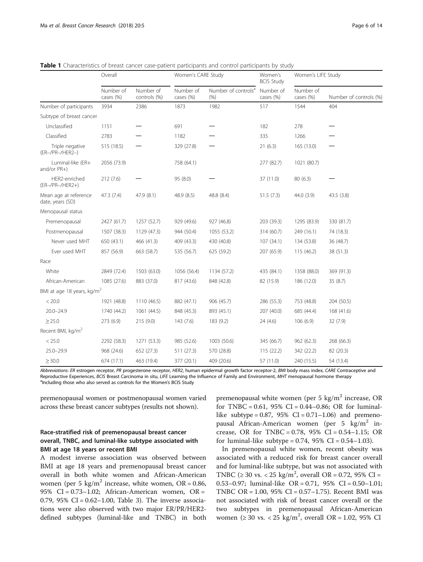|                                           | Overall                |                           | Women's CARE Study     |                                          | Women's<br><b>BCIS Study</b> | Women's LIFE Study     |                        |  |
|-------------------------------------------|------------------------|---------------------------|------------------------|------------------------------------------|------------------------------|------------------------|------------------------|--|
|                                           | Number of<br>cases (%) | Number of<br>controls (%) | Number of<br>cases (%) | Number of controls <sup>a</sup><br>(9/6) | Number of<br>cases (%)       | Number of<br>cases (%) | Number of controls (%) |  |
| Number of participants                    | 3934                   | 2386                      | 1873                   | 1982                                     | 517                          | 1544                   | 404                    |  |
| Subtype of breast cancer                  |                        |                           |                        |                                          |                              |                        |                        |  |
| Unclassified                              | 1151                   |                           | 691                    |                                          | 182                          | 278                    |                        |  |
| Classified                                | 2783                   |                           | 1182                   |                                          | 335                          | 1266                   |                        |  |
| Triple negative<br>(ER-/PR-/HER2-)        | 515 (18.5)             |                           | 329 (27.8)             |                                          | 21(6.3)                      | 165 (13.0)             |                        |  |
| Luminal-like (ER+<br>and/or PR+)          | 2056 (73.9)            |                           | 758 (64.1)             |                                          | 277 (82.7)                   | 1021 (80.7)            |                        |  |
| HER2-enriched<br>(ER-/PR-/HER2+)          | 212(7.6)               |                           | 95 (8.0)               |                                          | 37 (11.0)                    | 80(6.3)                |                        |  |
| Mean age at reference<br>date, years (SD) | 47.3 (7.4)             | 47.9 (8.1)                | 48.9 (8.5)             | 48.8 (8.4)                               | 51.5(7.3)                    | 44.0 (3.9)             | 43.5 (3.8)             |  |
| Menopausal status                         |                        |                           |                        |                                          |                              |                        |                        |  |
| Premenopausal                             | 2427 (61.7)            | 1257 (52.7)               | 929 (49.6)             | 927 (46.8)                               | 203 (39.3)                   | 1295 (83.9)            | 330 (81.7)             |  |
| Postmenopausal                            | 1507 (38.3)            | 1129 (47.3)               | 944 (50.4)             | 1055 (53.2)                              | 314 (60.7)                   | 249 (16.1)             | 74 (18.3)              |  |
| Never used MHT                            | 650 (43.1)             | 466 (41.3)                | 409 (43.3)             | 430 (40.8)                               | 107(34.1)                    | 134 (53.8)             | 36 (48.7)              |  |
| Ever used MHT                             | 857 (56.9)             | 663 (58.7)                | 535 (56.7)             | 625 (59.2)                               | 207 (65.9)                   | 115 (46.2)             | 38 (51.3)              |  |
| Race                                      |                        |                           |                        |                                          |                              |                        |                        |  |
| White                                     | 2849 (72.4)            | 1503 (63.0)               | 1056 (56.4)            | 1134 (57.2)                              | 435 (84.1)                   | 1358 (88.0)            | 369 (91.3)             |  |
| African-American                          | 1085 (27.6)            | 883 (37.0)                | 817 (43.6)             | 848 (42.8)                               | 82 (15.9)                    | 186 (12.0)             | 35(8.7)                |  |
| BMI at age 18 years, kg/m <sup>2</sup>    |                        |                           |                        |                                          |                              |                        |                        |  |
| < 20.0                                    | 1921 (48.8)            | 1110 (46.5)               | 882 (47.1)             | 906 (45.7)                               | 286 (55.3)                   | 753 (48.8)             | 204 (50.5)             |  |
| $20.0 - 24.9$                             | 1740 (44.2)            | 1061 (44.5)               | 848 (45.3)             | 893 (45.1)                               | 207 (40.0)                   | 685 (44.4)             | 168 (41.6)             |  |
| $\geq$ 25.0                               | 273 (6.9)              | 215 (9.0)                 | 143(7.6)               | 183 (9.2)                                | 24 (4.6)                     | 106(6.9)               | 32 (7.9)               |  |
| Recent BMI, kg/m <sup>2</sup>             |                        |                           |                        |                                          |                              |                        |                        |  |
| < 25.0                                    | 2292 (58.3)            | 1271 (53.3)               | 985 (52.6)             | 1003 (50.6)                              | 345 (66.7)                   | 962 (62.3)             | 268 (66.3)             |  |
| $25.0 - 29.9$                             | 968 (24.6)             | 652 (27.3)                | 511 (27.3)             | 570 (28.8)                               | 115(22.2)                    | 342 (22.2)             | 82 (20.3)              |  |
| $\geq$ 30.0                               | 674 (17.1)             | 463 (19.4)                | 377 (20.1)             | 409 (20.6)                               | 57 (11.0)                    | 240 (15.5)             | 54 (13.4)              |  |

<span id="page-5-0"></span>Table 1 Characteristics of breast cancer case-patient participants and control participants by study

Abbreviations: ER estrogen receptor, PR progesterone receptor, HER2, human epidermal growth factor receptor-2, BMI body mass index, CARE Contraceptive and Reproductive Experiences, BCIS Breast Carcinoma in situ, LIFE Learning the Influence of Family and Environment, MHT menopausal hormone therapy <sup>a</sup>Including those who also served as controls for the Women's BCIS Study

premenopausal women or postmenopausal women varied across these breast cancer subtypes (results not shown).

# Race-stratified risk of premenopausal breast cancer overall, TNBC, and luminal-like subtype associated with BMI at age 18 years or recent BMI

A modest inverse association was observed between BMI at age 18 years and premenopausal breast cancer overall in both white women and African-American women (per 5 kg/m<sup>2</sup> increase, white women, OR =  $0.86$ , 95% CI = 0.73–1.02; African-American women, OR = 0.79,  $95\%$  CI = 0.62–1.00, Table [3](#page-8-0)). The inverse associations were also observed with two major ER/PR/HER2 defined subtypes (luminal-like and TNBC) in both

premenopausal white women (per 5 kg/m<sup>2</sup> increase, OR for TNBC =  $0.61$ ,  $95\%$  CI =  $0.44-0.86$ ; OR for luminallike subtype =  $0.87$ , 95% CI =  $0.71-1.06$ ) and premenopausal African-American women (per 5  $\text{kg/m}^2$  increase, OR for TNBC =  $0.78$ ,  $95\%$  CI =  $0.54-1.15$ ; OR for luminal-like subtype =  $0.74$ ,  $95\%$  CI =  $0.54-1.03$ ).

In premenopausal white women, recent obesity was associated with a reduced risk for breast cancer overall and for luminal-like subtype, but was not associated with TNBC ( $\geq 30$  vs. < 25 kg/m<sup>2</sup>, overall OR = 0.72, 95% CI = 0.53–0.97; luminal-like OR = 0.71, 95% CI = 0.50–1.01; TNBC OR = 1.00, 95% CI = 0.57–1.75). Recent BMI was not associated with risk of breast cancer overall or the two subtypes in premenopausal African-American women (≥ 30 vs. < 25 kg/m<sup>2</sup>, overall OR = 1.02, 95% CI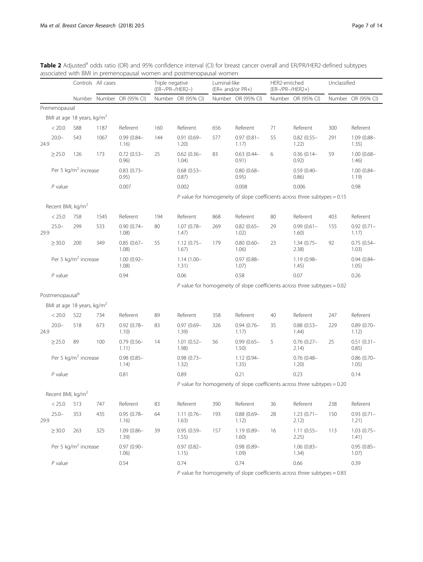|      |                               |                                        | Controls All cases |                           | Triple negative<br>(ER-/PR-/HER2-) |                        | Luminal-like<br>(ER+ and/or PR+) |                           | HER2-enriched<br>(ER-/PR-/HER2+) |                                                                              | Unclassified |                        |
|------|-------------------------------|----------------------------------------|--------------------|---------------------------|------------------------------------|------------------------|----------------------------------|---------------------------|----------------------------------|------------------------------------------------------------------------------|--------------|------------------------|
|      |                               |                                        |                    | Number Number OR (95% CI) |                                    | Number OR (95% CI)     |                                  | Number OR (95% CI)        |                                  | Number OR (95% CI)                                                           |              | Number OR (95% CI)     |
|      | Premenopausal                 |                                        |                    |                           |                                    |                        |                                  |                           |                                  |                                                                              |              |                        |
|      |                               | BMI at age 18 years, kg/m <sup>2</sup> |                    |                           |                                    |                        |                                  |                           |                                  |                                                                              |              |                        |
|      | < 20.0                        | 588                                    | 1187               | Referent                  | 160                                | Referent               | 656                              | Referent                  | 71                               | Referent                                                                     | 300          | Referent               |
| 24.9 | $20.0 -$                      | 543                                    | 1067               | $0.99(0.84 -$<br>1.16)    | 144                                | $0.91(0.69 -$<br>1.20) | 577                              | $0.97(0.81 -$<br>1.17)    | 55                               | $0.82(0.55 -$<br>1.22)                                                       | 291          | 1.09 (0.88-<br>1.35)   |
|      | $\geq$ 25.0                   | 126                                    | 173                | $0.72(0.53 -$<br>0.96)    | 25                                 | $0.62(0.36 -$<br>1.04) | 83                               | $0.63$ $(0.44 -$<br>0.91) | 6                                | $0.36(0.14 -$<br>0.92)                                                       | 59           | $1.00(0.68 -$<br>1.46) |
|      |                               | Per 5 kg/m <sup>2</sup> increase       |                    | $0.83(0.73 -$<br>0.95)    |                                    | $0.68(0.53 -$<br>0.87) |                                  | $0.80(0.68 -$<br>0.95)    |                                  | $0.59(0.40 -$<br>0.86)                                                       |              | $1.00(0.84 -$<br>1.19) |
|      | $P$ value                     |                                        |                    | 0.007                     |                                    | 0.002                  |                                  | 0.008                     |                                  | 0.006                                                                        |              | 0.98                   |
|      |                               |                                        |                    |                           |                                    |                        |                                  |                           |                                  | P value for homogeneity of slope coefficients across three subtypes = $0.15$ |              |                        |
|      | Recent BMI, kg/m <sup>2</sup> |                                        |                    |                           |                                    |                        |                                  |                           |                                  |                                                                              |              |                        |
|      | < 25.0                        | 758                                    | 1545               | Referent                  | 194                                | Referent               | 868                              | Referent                  | 80                               | Referent                                                                     | 403          | Referent               |
| 29.9 | $25.0 -$                      | 299                                    | 533                | $0.90(0.74 -$<br>1.08)    | 80                                 | $1.07(0.78 -$<br>1.47) | 269                              | $0.82(0.65 -$<br>1.02)    | 29                               | $0.99(0.61 -$<br>1.60)                                                       | 155          | $0.92(0.71 -$<br>1.17) |
|      | $\geq$ 30.0                   | 200                                    | 349                | $0.85(0.67 -$<br>1.08)    | 55                                 | $1.12(0.75 -$<br>1.67) | 179                              | $0.80(0.60 -$<br>1.06)    | 23                               | $1.34(0.75 -$<br>2.38)                                                       | 92           | $0.75(0.54 -$<br>1.03) |
|      |                               | Per 5 kg/m <sup>2</sup> increase       |                    | $1.00(0.92 -$<br>1.08)    |                                    | $1.14(1.00 -$<br>1.31) |                                  | $0.97(0.88 -$<br>1.07)    |                                  | $1.19(0.98 -$<br>1.45)                                                       |              | $0.94(0.84 -$<br>1.05) |
|      | $P$ value                     |                                        |                    | 0.94                      |                                    | 0.06                   |                                  | 0.58                      |                                  | 0.07                                                                         |              | 0.26                   |
|      |                               |                                        |                    |                           |                                    |                        |                                  |                           |                                  | P value for homogeneity of slope coefficients across three subtypes = $0.02$ |              |                        |
|      | Postmenopausal <sup>b</sup>   |                                        |                    |                           |                                    |                        |                                  |                           |                                  |                                                                              |              |                        |
|      |                               | BMI at age 18 years, kg/m <sup>2</sup> |                    |                           |                                    |                        |                                  |                           |                                  |                                                                              |              |                        |
|      | < 20.0                        | 522                                    | 734                | Referent                  | 89                                 | Referent               | 358                              | Referent                  | 40                               | Referent                                                                     | 247          | Referent               |
| 24.9 | $20.0 -$                      | 518                                    | 673                | $0.92(0.78 -$<br>1.10)    | 83                                 | $0.97(0.69 -$<br>1.39) | 326                              | $0.94(0.76 -$<br>1.17)    | 35                               | $0.88(0.53 -$<br>1.44)                                                       | 229          | $0.89(0.70 -$<br>1.12) |
|      | $\geq$ 25.0                   | 89                                     | 100                | $0.79(0.56 -$<br>1.11)    | 14                                 | $1.01(0.52 -$<br>1.98) | 56                               | $0.99(0.65 -$<br>1.50)    | 5                                | $0.76$ (0.27-<br>2.14)                                                       | 25           | $0.51(0.31 -$<br>0.85) |
|      |                               | Per 5 kg/m <sup>2</sup> increase       |                    | $0.98(0.85 -$<br>1.14)    |                                    | $0.98(0.73 -$<br>1.32) |                                  | $1.12(0.94 -$<br>1.35)    |                                  | $0.76$ (0.48-<br>1.20)                                                       |              | $0.86(0.70 -$<br>1.05) |
|      | $P$ value                     |                                        |                    | 0.81                      |                                    | 0.89                   |                                  | 0.21                      |                                  | 0.23                                                                         |              | 0.14                   |
|      |                               |                                        |                    |                           |                                    |                        |                                  |                           |                                  | P value for homogeneity of slope coefficients across three subtypes = $0.20$ |              |                        |
|      | Recent BMI, kg/m <sup>2</sup> |                                        |                    |                           |                                    |                        |                                  |                           |                                  |                                                                              |              |                        |
|      | < 25.0                        | 513                                    | 747                | Referent                  | 83                                 | Referent               | 390                              | Referent                  | 36                               | Referent                                                                     | 238          | Referent               |
| 29.9 | $25.0 -$                      | 353                                    | 435                | $0.95(0.78 -$<br>1.16)    | 64                                 | $1.11(0.76 -$<br>1.63) | 193                              | $0.88(0.69 -$<br>1.12)    | 28                               | $1.23(0.71 -$<br>2.12)                                                       | 150          | $0.93(0.71 -$<br>1.21) |
|      | $\geq$ 30.0                   | 263                                    | 325                | $1.09(0.86 -$<br>1.39)    | 39                                 | $0.95(0.59 -$<br>1.55) | 157                              | $1.19(0.89 -$<br>1.60)    | 16                               | $1.11(0.55 -$<br>2.25)                                                       | 113          | $1.03(0.75 -$<br>1.41) |
|      |                               | Per 5 kg/m <sup>2</sup> increase       |                    | $0.97(0.90 -$<br>1.06)    |                                    | $0.97(0.82 -$<br>1.15) |                                  | $0.98(0.89 -$<br>1.09)    |                                  | $1.06(0.83 -$<br>1.34)                                                       |              | $0.95(0.85 -$<br>1.07) |
|      | $P$ value                     |                                        |                    | 0.54                      |                                    | 0.74                   |                                  | 0.74                      |                                  | 0.66                                                                         |              | 0.39                   |
|      |                               |                                        |                    |                           |                                    |                        |                                  |                           |                                  |                                                                              |              |                        |

<span id="page-6-0"></span>Table 2 Adjusted<sup>a</sup> odds ratio (OR) and 95% confidence interval (CI) for breast cancer overall and ER/PR/HER2-defined subtypes associated with BMI in premenopausal women and postmenopausal women

 $P$  value for homogeneity of slope coefficients across three subtypes = 0.83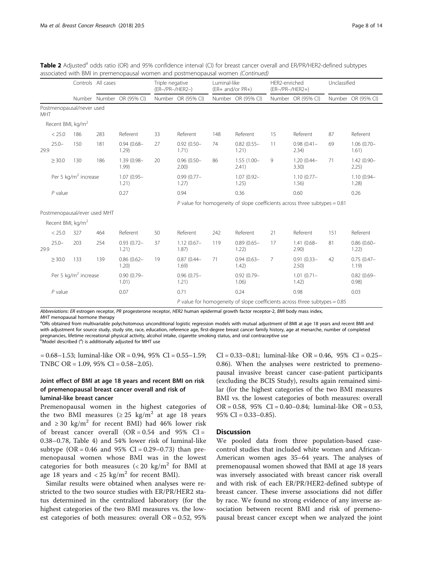|      |                               |                                  | Controls All cases |                           | Luminal-like<br>Triple negative<br>(ER-/PR-/HER2-)<br>(ER+ and/or PR+) |                        |     | HER2-enriched<br>(ER-/PR-/HER2+) |                                                                              | Unclassified                                                                 |     |                        |
|------|-------------------------------|----------------------------------|--------------------|---------------------------|------------------------------------------------------------------------|------------------------|-----|----------------------------------|------------------------------------------------------------------------------|------------------------------------------------------------------------------|-----|------------------------|
|      |                               |                                  |                    | Number Number OR (95% CI) |                                                                        | Number OR (95% CI)     |     | Number OR (95% CI)               |                                                                              | Number OR (95% CI)                                                           |     | Number OR (95% CI)     |
| MHT  |                               | Postmenopausal/never used        |                    |                           |                                                                        |                        |     |                                  |                                                                              |                                                                              |     |                        |
|      | Recent BMI, kg/m <sup>2</sup> |                                  |                    |                           |                                                                        |                        |     |                                  |                                                                              |                                                                              |     |                        |
|      | < 25.0                        | 186                              | 283                | Referent                  | 33                                                                     | Referent               | 148 | Referent                         | 15                                                                           | Referent                                                                     | 87  | Referent               |
| 29.9 | $25.0 -$                      | 150                              | 181                | $0.94(0.68 -$<br>1.29)    | 27                                                                     | $0.92(0.50 -$<br>1.71) | 74  | $0.82(0.55 -$<br>1.21)           | 11                                                                           | $0.98(0.41 -$<br>2.34)                                                       | 69  | $1.06(0.70 -$<br>1.61) |
|      | $\geq$ 30.0                   | 130                              | 186                | 1.39 (0.98-<br>1.99)      | 20                                                                     | $0.96(0.50 -$<br>2.00) | 86  | $1.55(1.00 -$<br>2.41)           | 9                                                                            | $1.20(0.44 -$<br>3.30)                                                       | 71  | $1.42(0.90 -$<br>2.25) |
|      |                               | Per 5 kg/m <sup>2</sup> increase |                    | $1.07(0.95 -$<br>1.21)    |                                                                        | $0.99(0.77 -$<br>1.27) |     | $1.07(0.92 -$<br>1.25)           |                                                                              | $1.10(0.77 -$<br>1.56)                                                       |     | $1.10(0.94 -$<br>1.28) |
|      | $P$ value                     |                                  |                    | 0.27                      |                                                                        | 0.94                   |     | 0.36                             |                                                                              | 0.60                                                                         |     | 0.26                   |
|      |                               |                                  |                    |                           |                                                                        |                        |     |                                  |                                                                              | P value for homogeneity of slope coefficients across three subtypes = $0.81$ |     |                        |
|      |                               | Postmenopausal/ever used MHT     |                    |                           |                                                                        |                        |     |                                  |                                                                              |                                                                              |     |                        |
|      | Recent BMI, kg/m <sup>2</sup> |                                  |                    |                           |                                                                        |                        |     |                                  |                                                                              |                                                                              |     |                        |
|      | < 25.0                        | 327                              | 464                | Referent                  | 50                                                                     | Referent               | 242 | Referent                         | 21                                                                           | Referent                                                                     | 151 | Referent               |
| 29.9 | $25.0 -$                      | 203                              | 254                | $0.93(0.72 -$<br>1.21)    | 37                                                                     | $1.12(0.67 -$<br>1.87) | 119 | $0.89(0.65 -$<br>1.22)           | 17                                                                           | $1.41(0.68 -$<br>2.90)                                                       | 81  | $0.86(0.60 -$<br>1.22) |
|      | $\geq$ 30.0                   | 133                              | 139                | $0.86(0.62 -$<br>1.20)    | 19                                                                     | $0.87(0.44 -$<br>1.69  | 71  | $0.94(0.63 -$<br>1.42)           | $\overline{7}$                                                               | $0.91(0.33 -$<br>2.50)                                                       | 42  | $0.75(0.47 -$<br>1.19) |
|      |                               | Per 5 kg/m <sup>2</sup> increase |                    | $0.90(0.79 -$<br>1.01)    |                                                                        | $0.96(0.75 -$<br>1.21) |     | $0.92(0.79 -$<br>1.06)           |                                                                              | $1.01(0.71 -$<br>1.42)                                                       |     | $0.82(0.69 -$<br>0.98) |
|      | $P$ value                     |                                  |                    | 0.07                      |                                                                        | 0.71                   |     | 0.24                             |                                                                              | 0.98                                                                         |     | 0.03                   |
|      |                               |                                  |                    |                           |                                                                        |                        |     |                                  | P value for homogeneity of slope coefficients across three subtypes = $0.85$ |                                                                              |     |                        |

Table 2 Adjusted<sup>a</sup> odds ratio (OR) and 95% confidence interval (CI) for breast cancer overall and ER/PR/HER2-defined subtypes associated with BMI in premenopausal women and postmenopausal women (Continued)

Abbreviations: ER estrogen receptor, PR progesterone receptor, HER2 human epidermal growth factor receptor-2, BMI body mass index, MHT menopausal hormone therapy

<sup>a</sup>ORs obtained from multivariable polychotomous unconditional logistic regression models with mutual adjustment of BMI at age 18 years and recent BMI and with adjustment for source study, study site, race, education, reference age, first-degree breast cancer family history, age at menarche, number of completed pregnancies, lifetime recreational physical activity, alcohol intake, cigarette smoking status, and oral contraceptive use

**b** Model described (<sup>a</sup>) is additionally adjusted for MHT use

 $= 0.68 - 1.53$ ; luminal-like OR  $= 0.94$ , 95% CI  $= 0.55 - 1.59$ ; TNBC OR = 1.09, 95% CI = 0.58–2.05).

# Joint effect of BMI at age 18 years and recent BMI on risk of premenopausal breast cancer overall and risk of luminal-like breast cancer

Premenopausal women in the highest categories of the two BMI measures ( $\geq 25$  kg/m<sup>2</sup> at age 18 years and  $\geq 30$  kg/m<sup>2</sup> for recent BMI) had 46% lower risk of breast cancer overall  $(OR = 0.54$  and  $95\%$  CI = 0.38–0.78, Table [4](#page-9-0)) and 54% lower risk of luminal-like subtype  $(OR = 0.46$  and  $95\%$  CI = 0.29–0.73) than premenopausal women whose BMI was in the lowest categories for both measures  $\left( < 20 \right)$  kg/m<sup>2</sup> for BMI at age 18 years and  $< 25 \text{ kg/m}^2$  for recent BMI).

Similar results were obtained when analyses were restricted to the two source studies with ER/PR/HER2 status determined in the centralized laboratory (for the highest categories of the two BMI measures vs. the lowest categories of both measures: overall OR = 0.52, 95%

 $CI = 0.33 - 0.81$ ; luminal-like  $OR = 0.46$ , 95%  $CI = 0.25 -$ 0.86). When the analyses were restricted to premenopausal invasive breast cancer case-patient participants (excluding the BCIS Study), results again remained similar (for the highest categories of the two BMI measures BMI vs. the lowest categories of both measures: overall OR =  $0.58$ ,  $95\%$  CI =  $0.40 - 0.84$ ; luminal-like OR =  $0.53$ , 95% CI =  $0.33 - 0.85$ ).

# **Discussion**

We pooled data from three population-based casecontrol studies that included white women and African-American women ages 35–64 years. The analyses of premenopausal women showed that BMI at age 18 years was inversely associated with breast cancer risk overall and with risk of each ER/PR/HER2-defined subtype of breast cancer. These inverse associations did not differ by race. We found no strong evidence of any inverse association between recent BMI and risk of premenopausal breast cancer except when we analyzed the joint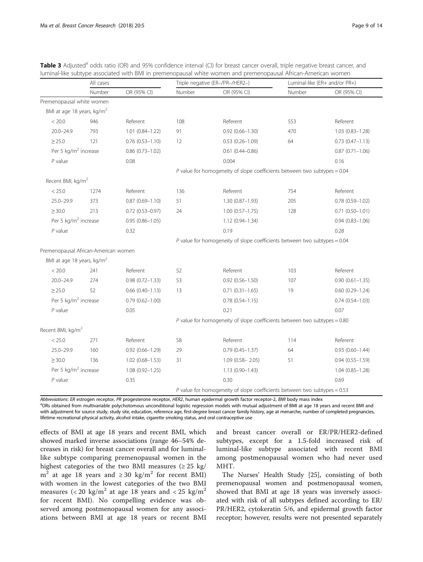Premenopausal white women BMI at age 18 years, kg/m<sup>2</sup>

|                     |             |        | odds ratio (OR) and 95% confidence interval (CI) for breast cancer overall, triple negative breast cancer, and<br>associated with BMI in premenopausal white women and premenopausal African-American women |                               |             |  |  |
|---------------------|-------------|--------|-------------------------------------------------------------------------------------------------------------------------------------------------------------------------------------------------------------|-------------------------------|-------------|--|--|
| All cases           |             |        | Triple negative (ER-/PR-/HER2-)                                                                                                                                                                             | Luminal-like (ER+ and/or PR+) |             |  |  |
| Number              | OR (95% CI) | Number | OR (95% CI)                                                                                                                                                                                                 | Number                        | OR (95% CI) |  |  |
| women               |             |        |                                                                                                                                                                                                             |                               |             |  |  |
| , kg/m <sup>2</sup> |             |        |                                                                                                                                                                                                             |                               |             |  |  |
| 946                 | Referent    | 108    | Referent                                                                                                                                                                                                    | 553                           | Referent    |  |  |

<span id="page-8-0"></span>Table 3 Adjusted<sup>a</sup> odds ratio (OR) and 95% confiden luminal-like subtype associated with BMI in premeno

| < 20.0                                                                      | 946  | Referent               | 108 | Referent                                                                    | 553 | Referent            |
|-----------------------------------------------------------------------------|------|------------------------|-----|-----------------------------------------------------------------------------|-----|---------------------|
| $20.0 - 24.9$                                                               | 793  | $1.01(0.84 - 1.22)$    | 91  | $0.92(0.66 - 1.30)$                                                         | 470 | $1.03(0.83 - 1.28)$ |
| $\geq$ 25.0                                                                 | 121  | $0.76(0.53 - 1.10)$    | 12  | $0.53(0.26 - 1.09)$                                                         | 64  | $0.73(0.47 - 1.13)$ |
| Per 5 kg/m <sup>2</sup> increase                                            |      | $0.86(0.73 - 1.02)$    |     | $0.61(0.44 - 0.86)$                                                         |     | $0.87(0.71 - 1.06)$ |
| $P$ value                                                                   |      | 0.08                   |     | 0.004                                                                       |     | 0.16                |
|                                                                             |      |                        |     | P value for homogeneity of slope coefficients between two subtypes = $0.04$ |     |                     |
| Recent BMI, kg/m <sup>2</sup>                                               |      |                        |     |                                                                             |     |                     |
| < 25.0                                                                      | 1274 | Referent               | 136 | Referent                                                                    | 754 | Referent            |
| $25.0 - 29.9$                                                               | 373  | $0.87(0.69 - 1.10)$    | 51  | $1.30(0.87 - 1.93)$                                                         | 205 | $0.78(0.59 - 1.02)$ |
| $\geq 30.0$                                                                 | 213  | $0.72(0.53 - 0.97)$    | 24  | $1.00(0.57 - 1.75)$                                                         | 128 | $0.71(0.50 - 1.01)$ |
| Per 5 kg/m <sup>2</sup> increase                                            |      | $0.95(0.86 - 1.05)$    |     | $1.12(0.94 - 1.34)$                                                         |     | $0.94(0.83 - 1.06)$ |
| $P$ value                                                                   |      | 0.32                   |     | 0.19                                                                        |     | 0.28                |
|                                                                             |      |                        |     | P value for homogeneity of slope coefficients between two subtypes = $0.04$ |     |                     |
| Premenopausal African-American women                                        |      |                        |     |                                                                             |     |                     |
| BMI at age 18 years, kg/m <sup>2</sup>                                      |      |                        |     |                                                                             |     |                     |
| < 20.0                                                                      | 241  | Referent               | 52  | Referent                                                                    | 103 | Referent            |
| $20.0 - 24.9$                                                               | 274  | $0.98(0.72 - 1.33)$    | 53  | $0.92$ $(0.56 - 1.50)$                                                      | 107 | $0.90(0.61 - 1.35)$ |
| $\geq$ 25.0                                                                 | 52   | $0.66$ $(0.40 - 1.13)$ | 13  | $0.71(0.31 - 1.65)$                                                         | 19  | $0.60(0.29 - 1.24)$ |
| Per 5 kg/m <sup>2</sup> increase                                            |      | $0.79(0.62 - 1.00)$    |     | $0.78(0.54 - 1.15)$                                                         |     | $0.74(0.54 - 1.03)$ |
| $P$ value                                                                   |      | 0.05                   |     | 0.21                                                                        |     | 0.07                |
|                                                                             |      |                        |     | P value for homogeneity of slope coefficients between two subtypes = $0.80$ |     |                     |
| Recent BMI, kg/m <sup>2</sup>                                               |      |                        |     |                                                                             |     |                     |
| < 25.0                                                                      | 271  | Referent               | 58  | Referent                                                                    | 114 | Referent            |
| $25.0 - 29.9$                                                               | 160  | $0.92(0.66 - 1.29)$    | 29  | $0.79(0.45 - 1.37)$                                                         | 64  | $0.93(0.60 - 1.44)$ |
| $\geq 30.0$                                                                 | 136  | $1.02(0.68 - 1.53)$    | 31  | $1.09(0.58 - 2.05)$                                                         | 51  | $0.94(0.55 - 1.59)$ |
| Per 5 kg/m <sup>2</sup> increase                                            |      | $1.08(0.92 - 1.25)$    |     | $1.13(0.90 - 1.43)$                                                         |     | $1.04(0.85 - 1.28)$ |
| $P$ value                                                                   |      | 0.35                   |     | 0.30                                                                        |     | 0.69                |
| P value for homogeneity of slope coefficients between two subtypes = $0.53$ |      |                        |     |                                                                             |     |                     |

Abbreviations: ER estrogen receptor, PR progesterone receptor, HER2, human epidermal growth factor receptor-2, BMI body mass index

<sup>a</sup>ORs obtained from multivariable polychotomous unconditional logistic regression models with mutual adjustment of BMI at age 18 years and recent BMI and with adjustment for source study, study site, education, reference age, first-degree breast cancer family history, age at menarche, number of completed pregnancies, lifetime recreational physical activity, alcohol intake, cigarette smoking status, and oral contraceptive use

effects of BMI at age 18 years and recent BMI, which showed marked inverse associations (range 46–54% decreases in risk) for breast cancer overall and for luminallike subtype comparing premenopausal women in the highest categories of the two BMI measures  $(≥ 25 kg/$ m<sup>2</sup> at age 18 years and  $\geq$  30 kg/m<sup>2</sup> for recent BMI) with women in the lowest categories of the two BMI measures  $\left($  < 20 kg/m<sup>2</sup> at age 18 years and < 25 kg/m<sup>2</sup> for recent BMI). No compelling evidence was observed among postmenopausal women for any associations between BMI at age 18 years or recent BMI

and breast cancer overall or ER/PR/HER2-defined subtypes, except for a 1.5-fold increased risk of luminal-like subtype associated with recent BMI among postmenopausal women who had never used MHT.

The Nurses' Health Study [\[25](#page-13-0)], consisting of both premenopausal women and postmenopausal women, showed that BMI at age 18 years was inversely associated with risk of all subtypes defined according to ER/ PR/HER2, cytokeratin 5/6, and epidermal growth factor receptor; however, results were not presented separately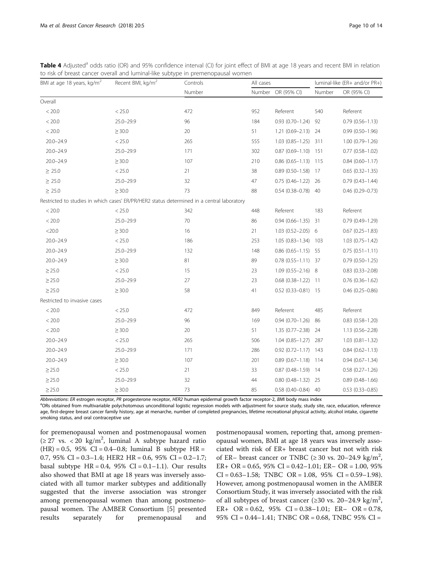<span id="page-9-0"></span>

| Table 4 Adjusted <sup>a</sup> odds ratio (OR) and 95% confidence interval (CI) for joint effect of BMI at age 18 years and recent BMI in relation |
|---------------------------------------------------------------------------------------------------------------------------------------------------|
| to risk of breast cancer overall and luminal-like subtype in premenopausal women                                                                  |

| BMI at age 18 years, kg/m <sup>2</sup>                                                     | Recent BMI, kg/m <sup>2</sup> | Controls | All cases |                            | luminal-like (ER+ and/or PR+) |                        |  |
|--------------------------------------------------------------------------------------------|-------------------------------|----------|-----------|----------------------------|-------------------------------|------------------------|--|
|                                                                                            |                               | Number   |           | Number OR (95% CI)         | Number                        | OR (95% CI)            |  |
| Overall                                                                                    |                               |          |           |                            |                               |                        |  |
| < 20.0                                                                                     | < 25.0                        | 472      | 952       | Referent                   | 540                           | Referent               |  |
| < 20.0                                                                                     | $25.0 - 29.9$                 | 96       | 184       | $0.93(0.70 - 1.24)$ 92     |                               | $0.79(0.56 - 1.13)$    |  |
| < 20.0                                                                                     | $\geq$ 30.0                   | 20       | 51        | $1.21(0.69 - 2.13)$ 24     |                               | $0.99(0.50 - 1.96)$    |  |
| $20.0 - 24.9$                                                                              | < 25.0                        | 265      | 555       | $1.03(0.85 - 1.25)$ 311    |                               | $1.00(0.79 - 1.26)$    |  |
| $20.0 - 24.9$                                                                              | $25.0 - 29.9$                 | 171      | 302       | $0.87(0.69 - 1.10)$ 151    |                               | $0.77(0.58 - 1.02)$    |  |
| $20.0 - 24.9$                                                                              | $\geq$ 30.0                   | 107      | 210       | $0.86$ $(0.65 - 1.13)$ 115 |                               | $0.84(0.60 - 1.17)$    |  |
| $\geq 25.0$                                                                                | < 25.0                        | 21       | 38        | $0.89(0.50-1.58)$ 17       |                               | $0.65(0.32 - 1.35)$    |  |
| $\geq$ 25.0                                                                                | $25.0 - 29.9$                 | 32       | 47        | $0.75(0.46 - 1.22)$ 26     |                               | $0.79(0.43 - 1.44)$    |  |
| $\geq 25.0$                                                                                | $\geq$ 30.0                   | 73       | 88        | $0.54(0.38 - 0.78)$ 40     |                               | $0.46(0.29 - 0.73)$    |  |
| Restricted to studies in which cases' ER/PR/HER2 status determined in a central laboratory |                               |          |           |                            |                               |                        |  |
| < 20.0                                                                                     | < 25.0                        | 342      | 448       | Referent                   | 183                           | Referent               |  |
| < 20.0                                                                                     | $25.0 - 29.9$                 | 70       | 86        | $0.94(0.66 - 1.35)$ 31     |                               | $0.79(0.49 - 1.29)$    |  |
| $<$ 20.0                                                                                   | $\geq$ 30.0                   | 16       | 21        | $1.03(0.52 - 2.05)$ 6      |                               | $0.67(0.25 - 1.83)$    |  |
| $20.0 - 24.9$                                                                              | < 25.0                        | 186      | 253       | 1.05 (0.83-1.34) 103       |                               | $1.03(0.75 - 1.42)$    |  |
| $20.0 - 24.9$                                                                              | $25.0 - 29.9$                 | 132      | 148       | $0.86$ $(0.65 - 1.15)$ 55  |                               | $0.75(0.51 - 1.11)$    |  |
| $20.0 - 24.9$                                                                              | $\geq$ 30.0                   | 81       | 89        | $0.78$ $(0.55 - 1.11)$ 37  |                               | $0.79(0.50 - 1.25)$    |  |
| $\geq$ 25.0                                                                                | < 25.0                        | 15       | 23        | $1.09(0.55 - 2.16)$ 8      |                               | $0.83$ $(0.33 - 2.08)$ |  |
| $\geq$ 25.0                                                                                | $25.0 - 29.9$                 | 27       | 23        | $0.68$ $(0.38 - 1.22)$ 11  |                               | $0.76$ $(0.36 - 1.62)$ |  |
| $\geq$ 25.0                                                                                | $\geq 30.0$                   | 58       | 41        | $0.52$ $(0.33 - 0.81)$ 15  |                               | $0.46$ $(0.25 - 0.86)$ |  |
| Restricted to invasive cases                                                               |                               |          |           |                            |                               |                        |  |
| < 20.0                                                                                     | < 25.0                        | 472      | 849       | Referent                   | 485                           | Referent               |  |
| < 20.0                                                                                     | $25.0 - 29.9$                 | 96       | 169       | $0.94(0.70-1.26)$ 86       |                               | $0.83(0.58 - 1.20)$    |  |
| < 20.0                                                                                     | $\geq$ 30.0                   | 20       | 51        | 1.35 (0.77-2.38) 24        |                               | $1.13(0.56 - 2.28)$    |  |
| $20.0 - 24.9$                                                                              | < 25.0                        | 265      | 506       | 1.04 (0.85-1.27) 287       |                               | $1.03(0.81 - 1.32)$    |  |
| $20.0 - 24.9$                                                                              | $25.0 - 29.9$                 | 171      | 286       | $0.92$ $(0.72 - 1.17)$ 143 |                               | $0.84(0.62 - 1.13)$    |  |
| $20.0 - 24.9$                                                                              | $\geq$ 30.0                   | 107      | 201       | $0.89(0.67 - 1.18)$ 114    |                               | $0.94(0.67 - 1.34)$    |  |
| $\geq$ 25.0                                                                                | < 25.0                        | 21       | 33        | $0.87$ $(0.48 - 1.59)$ 14  |                               | $0.58(0.27 - 1.26)$    |  |
| $\geq$ 25.0                                                                                | $25.0 - 29.9$                 | 32       | 44        | $0.80(0.48 - 1.32)$ 25     |                               | $0.89(0.48 - 1.66)$    |  |
| $\geq$ 25.0                                                                                | $\geq$ 30.0                   | 73       | 85        | $0.58(0.40 - 0.84)$ 40     |                               | $0.53(0.33 - 0.85)$    |  |

Abbreviations: ER estrogen receptor, PR progesterone receptor, HER2 human epidermal growth factor receptor-2, BMI body mass index

<sup>a</sup>ORs obtained from multivariable polychotomous unconditional logistic regression models with adjustment for source study, study site, race, education, reference age, first-degree breast cancer family history, age at menarche, number of completed pregnancies, lifetime recreational physical activity, alcohol intake, cigarette smoking status, and oral contraceptive use

for premenopausal women and postmenopausal women (≥ 27 vs. < 20 kg/m<sup>2</sup>, luminal A subtype hazard ratio  $(HR) = 0.5$ , 95% CI = 0.4–0.8; luminal B subtype HR = 0.7, 95% CI =  $0.3-1.4$ ; HER2 HR = 0.6, 95% CI =  $0.2-1.7$ ; basal subtype  $HR = 0.4$ ,  $95\%$   $CI = 0.1 - 1.1$ ). Our results also showed that BMI at age 18 years was inversely associated with all tumor marker subtypes and additionally suggested that the inverse association was stronger among premenopausal women than among postmenopausal women. The AMBER Consortium [\[5](#page-12-0)] presented results separately for premenopausal and

postmenopausal women, reporting that, among premenopausal women, BMI at age 18 years was inversely associated with risk of ER+ breast cancer but not with risk of ER- breast cancer or TNBC ( $\geq$  30 vs. 20-24.9 kg/m<sup>2</sup>, ER + OR =  $0.65$ ,  $95\%$  CI =  $0.42-1.01$ ; ER - OR = 1.00,  $95\%$  $CI = 0.63 - 1.58$ ; TNBC OR = 1.08, 95% CI = 0.59-1.98). However, among postmenopausal women in the AMBER Consortium Study, it was inversely associated with the risk of all subtypes of breast cancer ( $\geq 30$  vs. 20–24.9 kg/m<sup>2</sup>, ER+ OR = 0.62, 95% CI = 0.38-1.01; ER- OR = 0.78, 95% CI = 0.44–1.41; TNBC OR = 0.68, TNBC 95% CI =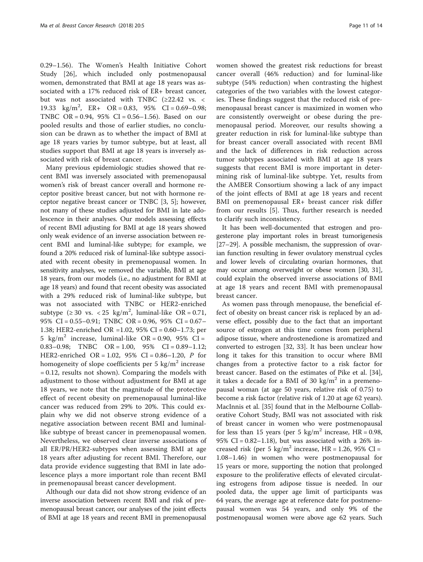0.29–1.56). The Women's Health Initiative Cohort Study [[26\]](#page-13-0), which included only postmenopausal women, demonstrated that BMI at age 18 years was associated with a 17% reduced risk of ER+ breast cancer, but was not associated with TNBC (≥22.42 vs. < 19.33 kg/m<sup>2</sup>, ER+ OR = 0.83, 95% CI = 0.69-0.98; TNBC OR = 0.94, 95% CI = 0.56–1.56). Based on our pooled results and those of earlier studies, no conclusion can be drawn as to whether the impact of BMI at age 18 years varies by tumor subtype, but at least, all studies support that BMI at age 18 years is inversely associated with risk of breast cancer.

Many previous epidemiologic studies showed that recent BMI was inversely associated with premenopausal women's risk of breast cancer overall and hormone receptor positive breast cancer, but not with hormone receptor negative breast cancer or TNBC [[3, 5\]](#page-12-0); however, not many of these studies adjusted for BMI in late adolescence in their analyses. Our models assessing effects of recent BMI adjusting for BMI at age 18 years showed only weak evidence of an inverse association between recent BMI and luminal-like subtype; for example, we found a 20% reduced risk of luminal-like subtype associated with recent obesity in premenopausal women. In sensitivity analyses, we removed the variable, BMI at age 18 years, from our models (i.e., no adjustment for BMI at age 18 years) and found that recent obesity was associated with a 29% reduced risk of luminal-like subtype, but was not associated with TNBC or HER2-enriched subtype  $(\geq 30 \text{ vs. } < 25 \text{ kg/m}^2, \text{ luminal-like OR} = 0.71,$ 95% CI = 0.55–0.91; TNBC OR = 0.96, 95% CI = 0.67– 1.38; HER2-enriched OR =1.02, 95% CI = 0.60–1.73; per 5 kg/m<sup>2</sup> increase, luminal-like OR = 0.90, 95% CI = 0.83–0.98; TNBC OR = 1.00, 95% CI =  $0.89-1.12$ ; HER2-enriched OR = 1.02, 95% CI = 0.86–1.20, P for homogeneity of slope coefficients per 5 kg/ $m<sup>2</sup>$  increase  $= 0.12$ , results not shown). Comparing the models with adjustment to those without adjustment for BMI at age 18 years, we note that the magnitude of the protective effect of recent obesity on premenopausal luminal-like cancer was reduced from 29% to 20%. This could explain why we did not observe strong evidence of a negative association between recent BMI and luminallike subtype of breast cancer in premenopausal women. Nevertheless, we observed clear inverse associations of all ER/PR/HER2-subtypes when assessing BMI at age 18 years after adjusting for recent BMI. Therefore, our data provide evidence suggesting that BMI in late adolescence plays a more important role than recent BMI in premenopausal breast cancer development.

Although our data did not show strong evidence of an inverse association between recent BMI and risk of premenopausal breast cancer, our analyses of the joint effects of BMI at age 18 years and recent BMI in premenopausal women showed the greatest risk reductions for breast cancer overall (46% reduction) and for luminal-like subtype (54% reduction) when contrasting the highest categories of the two variables with the lowest categories. These findings suggest that the reduced risk of premenopausal breast cancer is maximized in women who are consistently overweight or obese during the premenopausal period. Moreover, our results showing a greater reduction in risk for luminal-like subtype than for breast cancer overall associated with recent BMI and the lack of differences in risk reduction across tumor subtypes associated with BMI at age 18 years suggests that recent BMI is more important in determining risk of luminal-like subtype. Yet, results from the AMBER Consortium showing a lack of any impact of the joint effects of BMI at age 18 years and recent BMI on premenopausal ER+ breast cancer risk differ from our results [[5\]](#page-12-0). Thus, further research is needed to clarify such inconsistency.

It has been well-documented that estrogen and progesterone play important roles in breast tumorigenesis [[27](#page-13-0)–[29\]](#page-13-0). A possible mechanism, the suppression of ovarian function resulting in fewer ovulatory menstrual cycles and lower levels of circulating ovarian hormones, that may occur among overweight or obese women [[30](#page-13-0), [31](#page-13-0)], could explain the observed inverse associations of BMI at age 18 years and recent BMI with premenopausal breast cancer.

As women pass through menopause, the beneficial effect of obesity on breast cancer risk is replaced by an adverse effect, possibly due to the fact that an important source of estrogen at this time comes from peripheral adipose tissue, where androstenedione is aromatized and converted to estrogen [\[32](#page-13-0), [33\]](#page-13-0). It has been unclear how long it takes for this transition to occur where BMI changes from a protective factor to a risk factor for breast cancer. Based on the estimates of Pike et al. [\[34](#page-13-0)], it takes a decade for a BMI of 30 kg/m<sup>2</sup> in a premenopausal woman (at age 50 years, relative risk of 0.75) to become a risk factor (relative risk of 1.20 at age 62 years). MacInnis et al. [[35\]](#page-13-0) found that in the Melbourne Collaborative Cohort Study, BMI was not associated with risk of breast cancer in women who were postmenopausal for less than 15 years (per 5 kg/m<sup>2</sup> increase, HR = 0.98, 95% CI =  $0.82 - 1.18$ ), but was associated with a 26% increased risk (per 5 kg/m<sup>2</sup> increase, HR = 1.26, 95% CI = 1.08–1.46) in women who were postmenopausal for 15 years or more, supporting the notion that prolonged exposure to the proliferative effects of elevated circulating estrogens from adipose tissue is needed. In our pooled data, the upper age limit of participants was 64 years, the average age at reference date for postmenopausal women was 54 years, and only 9% of the postmenopausal women were above age 62 years. Such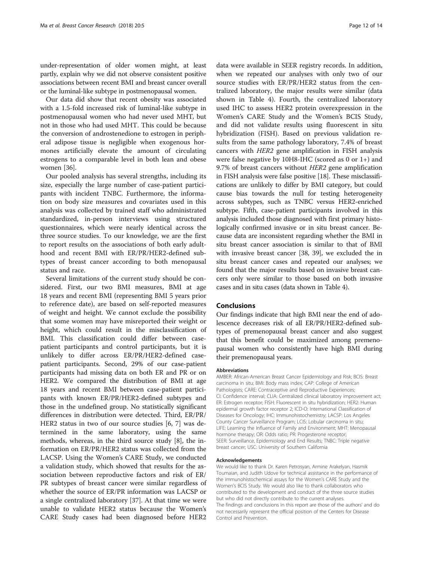under-representation of older women might, at least partly, explain why we did not observe consistent positive associations between recent BMI and breast cancer overall or the luminal-like subtype in postmenopausal women.

Our data did show that recent obesity was associated with a 1.5-fold increased risk of luminal-like subtype in postmenopausal women who had never used MHT, but not in those who had used MHT. This could be because the conversion of androstenedione to estrogen in peripheral adipose tissue is negligible when exogenous hormones artificially elevate the amount of circulating estrogens to a comparable level in both lean and obese women [[36\]](#page-13-0).

Our pooled analysis has several strengths, including its size, especially the large number of case-patient participants with incident TNBC. Furthermore, the information on body size measures and covariates used in this analysis was collected by trained staff who administrated standardized, in-person interviews using structured questionnaires, which were nearly identical across the three source studies. To our knowledge, we are the first to report results on the associations of both early adulthood and recent BMI with ER/PR/HER2-defined subtypes of breast cancer according to both menopausal status and race.

Several limitations of the current study should be considered. First, our two BMI measures, BMI at age 18 years and recent BMI (representing BMI 5 years prior to reference date), are based on self-reported measures of weight and height. We cannot exclude the possibility that some women may have misreported their weight or height, which could result in the misclassification of BMI. This classification could differ between casepatient participants and control participants, but it is unlikely to differ across ER/PR/HER2-defined casepatient participants. Second, 29% of our case-patient participants had missing data on both ER and PR or on HER2. We compared the distribution of BMI at age 18 years and recent BMI between case-patient participants with known ER/PR/HER2-defined subtypes and those in the undefined group. No statistically significant differences in distribution were detected. Third, ER/PR/ HER2 status in two of our source studies [\[6](#page-12-0), [7\]](#page-12-0) was determined in the same laboratory, using the same methods, whereas, in the third source study [\[8](#page-12-0)], the information on ER/PR/HER2 status was collected from the LACSP. Using the Women's CARE Study, we conducted a validation study, which showed that results for the association between reproductive factors and risk of ER/ PR subtypes of breast cancer were similar regardless of whether the source of ER/PR information was LACSP or a single centralized laboratory [[37\]](#page-13-0). At that time we were unable to validate HER2 status because the Women's CARE Study cases had been diagnosed before HER2

data were available in SEER registry records. In addition, when we repeated our analyses with only two of our source studies with ER/PR/HER2 status from the centralized laboratory, the major results were similar (data shown in Table [4\)](#page-9-0). Fourth, the centralized laboratory used IHC to assess HER2 protein overexpression in the Women's CARE Study and the Women's BCIS Study, and did not validate results using fluorescent in situ hybridization (FISH). Based on previous validation results from the same pathology laboratory, 7.4% of breast cancers with HER2 gene amplification in FISH analysis were false negative by 10H8-IHC (scored as 0 or 1+) and 9.7% of breast cancers without HER2 gene amplification in FISH analysis were false positive [\[18\]](#page-13-0). These misclassifications are unlikely to differ by BMI category, but could cause bias towards the null for testing heterogeneity across subtypes, such as TNBC versus HER2-enriched subtype. Fifth, case-patient participants involved in this analysis included those diagnosed with first primary histologically confirmed invasive or in situ breast cancer. Because data are inconsistent regarding whether the BMI in situ breast cancer association is similar to that of BMI with invasive breast cancer [\[38, 39\]](#page-13-0), we excluded the in situ breast cancer cases and repeated our analyses; we found that the major results based on invasive breast cancers only were similar to those based on both invasive cases and in situ cases (data shown in Table [4\)](#page-9-0).

### Conclusions

Our findings indicate that high BMI near the end of adolescence decreases risk of all ER/PR/HER2-defined subtypes of premenopausal breast cancer and also suggest that this benefit could be maximized among premenopausal women who consistently have high BMI during their premenopausal years.

#### Abbreviations

AMBER: African-American Breast Cancer Epidemiology and Risk; BCIS: Breast carcinoma in situ; BMI: Body mass index; CAP: College of American Pathologists; CARE: Contraceptive and Reproductive Experiences; CI: Confidence interval; CLIA: Centralized clinical laboratory improvement act; ER: Estrogen receptor; FISH: Fluorescent in situ hybridization; HER2: Human epidermal growth factor receptor 2; ICD-O: International Classification of Diseases for Oncology; IHC: Immunohistochemistry; LACSP: Los Angeles County Cancer Surveillance Program; LCIS: Lobular carcinoma in situ; LIFE: Learning the Influence of Family and Environment; MHT: Menopausal hormone therapy; OR: Odds ratio; PR: Progesterone receptor; SEER: Surveillance, Epidemiology and End Results; TNBC: Triple negative breast cancer; USC: University of Southern California

#### Acknowledgements

We would like to thank Dr. Karen Petrosyan, Armine Arakelyan, Hasmik Toumaian, and Judith Udove for technical assistance in the performance of the immunohistochemical assays for the Women's CARE Study and the Women's BCIS Study. We would also like to thank collaborators who contributed to the development and conduct of the three source studies but who did not directly contribute to the current analyses. The findings and conclusions in this report are those of the authors' and do not necessarily represent the official position of the Centers for Disease Control and Prevention.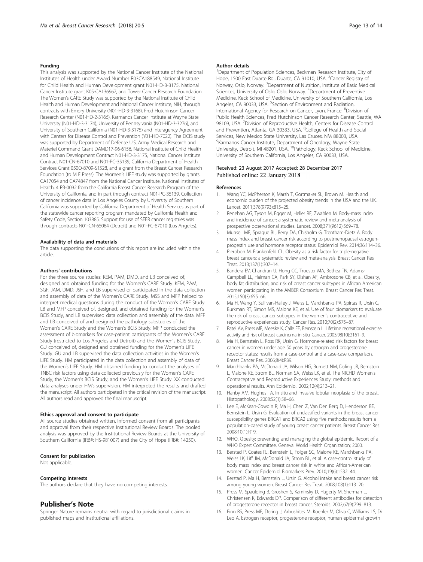#### <span id="page-12-0"></span>Funding

This analysis was supported by the National Cancer Institute of the National Institutes of Health under Award Number R03CA188549, National Institute for Child Health and Human Development grant N01-HD-3-3175, National Cancer Institute grant K05-CA136967, and Tower Cancer Research Foundation. The Women's CARE Study was supported by the National Institute of Child Health and Human Development and National Cancer Institute, NIH, through contracts with Emory University (N01-HD-3-3168), Fred Hutchinson Cancer Research Center (N01-HD-2-3166), Karmanos Cancer Institute at Wayne State University (N01-HD-3-3174), University of Pennsylvania (N01-HD-3-3276), and University of Southern California (N01-HD-3-3175) and Interagency Agreement with Centers for Disease Control and Prevention (Y01-HD-7022). The DCIS study was supported by Department of Defense U.S. Army Medical Research and Materiel Command Grant DAMD17-96-6156, National Institute of Child Health and Human Development Contract N01-HD-3-3175, National Cancer Institute Contract N01-CN-67010 and N01-PC-35139, California Department of Health Services Grant 050Q-8709-S1528, and a grant from the Breast Cancer Research Foundation (to M F Press). The Women's LIFE study was supported by grants CA17054 and CA74847 from the National Cancer Institute, National Institutes of Health, 4 PB-0092 from the California Breast Cancer Research Program of the University of California, and in part through contract N01-PC-35139. Collection of cancer incidence data in Los Angeles County by University of Southern California was supported by California Department of Health Services as part of the statewide cancer reporting program mandated by California Health and Safety Code, Section 103885. Support for use of SEER cancer registries was through contracts N01-CN-65064 (Detroit) and N01-PC-67010 (Los Angeles).

#### Availability of data and materials

The data supporting the conclusions of this report are included within the article.

#### Authors' contributions

For the three source studies: KEM, PAM, DMD, and LB conceived of, designed and obtained funding for the Women's CARE Study. KEM, PAM, SGF, JAM, DMD, JSH, and LB supervised or participated in the data collection and assembly of data of the Women's CARE Study. MSS and MFP helped to interpret medical questions during the conduct of the Women's CARE Study. LB and MFP conceived of, designed, and obtained funding for the Women's BCIS Study, and LB supervised data collection and assembly of the data. MFP and LB conceived of and designed the pathology substudies of the Women's CARE Study and the Women's BCIS Study. MFP conducted the assessment of biomarkers for case-patient participants of the Women's CARE Study (restricted to Los Angeles and Detroit) and the Women's BCIS Study. GU conceived of, designed and obtained funding for the Women's LIFE Study. GU and LB supervised the data collection activities in the Women's LIFE Study. HM participated in the data collection and assembly of data of the Women's LIFE Study. HM obtained funding to conduct the analyses of TNBC risk factors using data collected previously for the Women's CARE Study, the Women's BCIS Study, and the Women's LIFE Study. XX conducted data analyses under HM's supervision. HM interpreted the results and drafted the manuscript. All authors participated in the critical revision of the manuscript. All authors read and approved the final manuscript.

#### Ethics approval and consent to participate

All source studies obtained written, informed consent from all participants and approval from their respective Institutional Review Boards. The pooled analysis was approved by the Institutional Review Boards at the University of Southern California (IRB#: HS-981007) and the City of Hope (IRB#: 14250).

#### Consent for publication

Not applicable.

#### Competing interests

The authors declare that they have no competing interests.

#### Publisher's Note

Springer Nature remains neutral with regard to jurisdictional claims in published maps and institutional affiliations.

#### Author details

<sup>1</sup>Department of Population Sciences, Beckman Research Institute, City of Hope, 1500 East Duarte Rd., Duarte, CA 91010, USA. <sup>2</sup> Cancer Registry of Norway, Oslo, Norway. <sup>3</sup>Department of Nutrition, Institute of Basic Medical Sciences, University of Oslo, Oslo, Norway. <sup>4</sup>Department of Preventive Medicine, Keck School of Medicine, University of Southern California, Los Angeles, CA 90033, USA. <sup>5</sup>Section of Environment and Radiation, International Agency for Research on Cancer, Lyon, France. <sup>6</sup>Division of Public Health Sciences, Fred Hutchinson Cancer Research Center, Seattle, WA 98109, USA. <sup>7</sup> Division of Reproductive Health, Centers for Disease Control and Prevention, Atlanta, GA 30333, USA. <sup>8</sup>College of Health and Social Services, New Mexico State University, Las Cruces, NM 88003, USA. <sup>9</sup>Karmanos Cancer Institute, Department of Oncology, Wayne State University, Detroit, MI 48201, USA. <sup>10</sup>Pathology, Keck School of Medicine, University of Southern California, Los Angeles, CA 90033, USA.

#### Received: 23 August 2017 Accepted: 28 December 2017 Published online: 22 January 2018

#### References

- Wang YC, McPherson K, Marsh T, Gortmaker SL, Brown M. Health and economic burden of the projected obesity trends in the USA and the UK. Lancet. 2011;378(9793):815–25.
- Renehan AG, Tyson M, Egger M, Heller RF, Zwahlen M. Body-mass index and incidence of cancer: a systematic review and meta-analysis of prospective observational studies. Lancet. 2008;371(9612):569–78.
- 3. Munsell MF, Sprague BL, Berry DA, Chisholm G, Trentham-Dietz A. Body mass index and breast cancer risk according to postmenopausal estrogenprogestin use and hormone receptor status. Epidemiol Rev. 2014;36:114–36.
- 4. Pierobon M, Frankenfeld CL. Obesity as a risk factor for triple-negative breast cancers: a systematic review and meta-analysis. Breast Cancer Res Treat. 2013;137(1):307–14.
- 5. Bandera EV, Chandran U, Hong CC, Troester MA, Bethea TN, Adams-Campbell LL, Haiman CA, Park SY, Olshan AF, Ambrosone CB, et al. Obesity, body fat distribution, and risk of breast cancer subtypes in African American women participating in the AMBER Consortium. Breast Cancer Res Treat. 2015;150(3):655–66.
- 6. Ma H, Wang Y, Sullivan-Halley J, Weiss L, Marchbanks PA, Spirtas R, Ursin G, Burkman RT, Simon MS, Malone KE, et al. Use of four biomarkers to evaluate the risk of breast cancer subtypes in the women's contraceptive and reproductive experiences study. Cancer Res. 2010;70(2):575–87.
- 7. Patel AV, Press MF, Meeske K, Calle EE, Bernstein L. Lifetime recreational exercise activity and risk of breast carcinoma in situ. Cancer. 2003;98(10):2161–9.
- 8. Ma H, Bernstein L, Ross RK, Ursin G. Hormone-related risk factors for breast cancer in women under age 50 years by estrogen and progesterone receptor status: results from a case-control and a case-case comparison. Breast Cancer Res. 2006;8(4):R39.
- 9. Marchbanks PA, McDonald JA, Wilson HG, Burnett NM, Daling JR, Bernstein L, Malone KE, Strom BL, Norman SA, Weiss LK, et al. The NICHD Women's Contraceptive and Reproductive Experiences Study: methods and operational results. Ann Epidemiol. 2002;12(4):213–21.
- 10. Hanby AM, Hughes TA. In situ and invasive lobular neoplasia of the breast. Histopathology. 2008;52(1):58–66.
- 11. Lee E, McKean-Cowdin R, Ma H, Chen Z, Van Den Berg D, Henderson BE, Bernstein L, Ursin G. Evaluation of unclassified variants in the breast cancer susceptibility genes BRCA1 and BRCA2 using five methods: results from a population-based study of young breast cancer patients. Breast Cancer Res. 2008;10(1):R19.
- 12. WHO. Obesity: preventing and managing the global epidemic. Report of a WHO Expert Committee. Geneva: World Health Organization; 2000.
- 13. Berstad P, Coates RJ, Bernstein L, Folger SG, Malone KE, Marchbanks PA, Weiss LK, Liff JM, McDonald JA, Strom BL, et al. A case-control study of body mass index and breast cancer risk in white and African-American women. Cancer Epidemiol Biomarkers Prev. 2010;19(6):1532–44.
- 14. Berstad P, Ma H, Bernstein L, Ursin G. Alcohol intake and breast cancer risk among young women. Breast Cancer Res Treat. 2008;108(1):113–20.
- 15. Press M, Spaulding B, Groshen S, Kaminsky D, Hagerty M, Sherman L, Christensen K, Edwards DP. Comparison of different antibodies for detection of progesterone receptor in breast cancer. Steroids. 2002;67(9):799–813.
- 16. Finn RS, Press MF, Dering J, Arbushites M, Koehler M, Oliva C, Williams LS, Di Leo A. Estrogen receptor, progesterone receptor, human epidermal growth